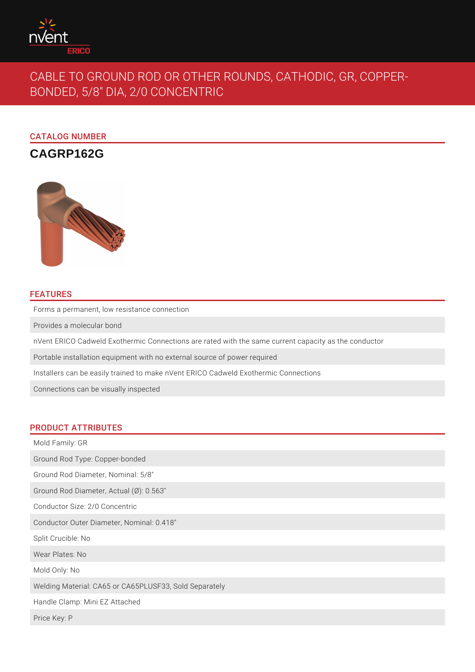

# CABLE TO GROUND ROD OR OTHER ROUNDS, CATHODIC, GR, COPPER-BONDED, 5/8" DIA, 2/0 CONCENTRIC

CATALOG NUMBER

## **CAGRP162G**



## FEATURES

Forms a permanent, low resistance connection

Provides a molecular bond

nVent ERICO Cadweld Exothermic Connections are rated with the same current capacity as the conductor

Portable installation equipment with no external source of power required

Installers can be easily trained to make nVent ERICO Cadweld Exothermic Connections

Connections can be visually inspected

## PRODUCT ATTRIBUTES

Mold Family: GR Ground Rod Type: Copper-bonded Ground Rod Diameter, Nominal: 5/8" Ground Rod Diameter, Actual (Ø): 0.563" Conductor Size: 2/0 Concentric Conductor Outer Diameter, Nominal: 0.418" Split Crucible: No Wear Plates: No Mold Only: No Welding Material: CA65 or CA65PLUSF33, Sold Separately Handle Clamp: Mini EZ Attached Price Key: P